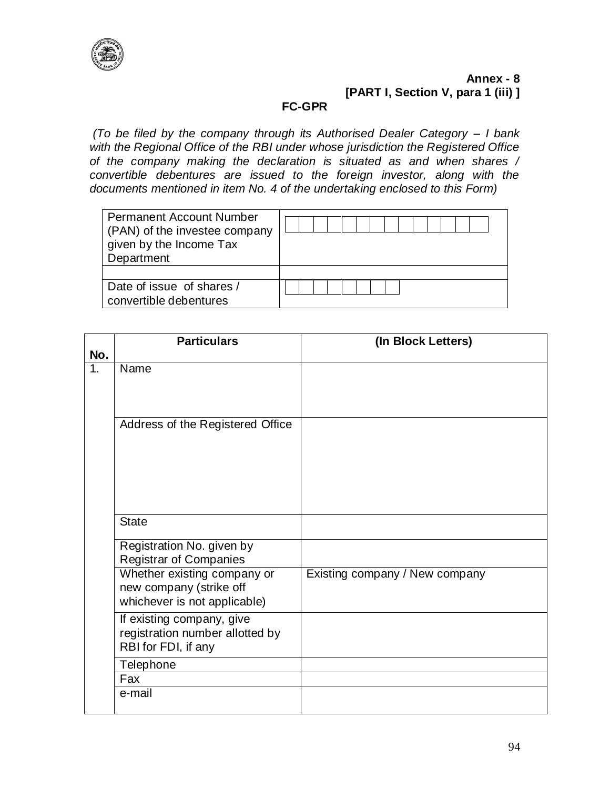

# **Annex - 8 [PART I, Section V, para 1 (iii) ]**

## **FC-GPR**

*(To be filed by the company through its Authorised Dealer Category – I bank with the Regional Office of the RBI under whose jurisdiction the Registered Office of the company making the declaration is situated as and when shares / convertible debentures are issued to the foreign investor, along with the documents mentioned in item No. 4 of the undertaking enclosed to this Form)*

| <b>Permanent Account Number</b><br>(PAN) of the investee company<br>given by the Income Tax<br>Department |  |
|-----------------------------------------------------------------------------------------------------------|--|
|                                                                                                           |  |
| Date of issue of shares /                                                                                 |  |
| convertible debentures                                                                                    |  |

| No. | <b>Particulars</b>                                                                     | (In Block Letters)             |
|-----|----------------------------------------------------------------------------------------|--------------------------------|
| 1.  | Name                                                                                   |                                |
|     | Address of the Registered Office                                                       |                                |
|     | <b>State</b>                                                                           |                                |
|     | Registration No. given by<br><b>Registrar of Companies</b>                             |                                |
|     | Whether existing company or<br>new company (strike off<br>whichever is not applicable) | Existing company / New company |
|     | If existing company, give<br>registration number allotted by<br>RBI for FDI, if any    |                                |
|     | Telephone                                                                              |                                |
|     | Fax                                                                                    |                                |
|     | e-mail                                                                                 |                                |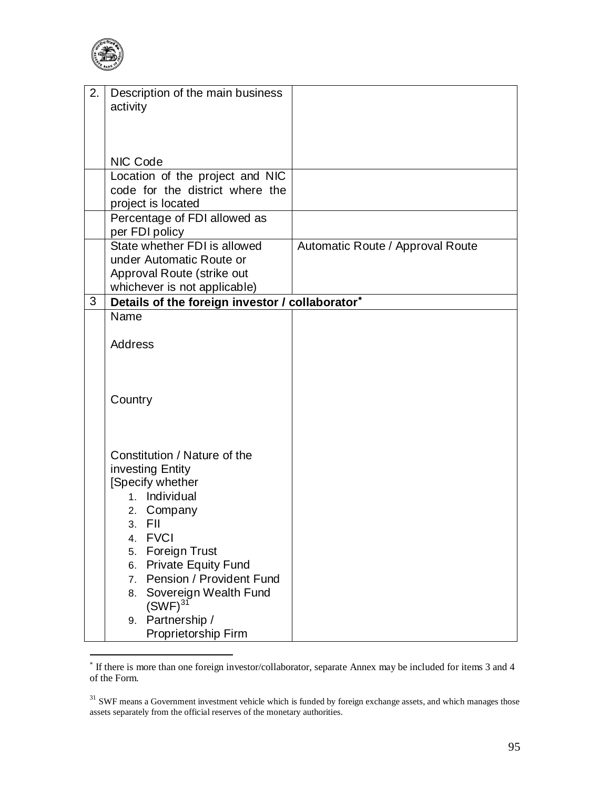

| 2. | Description of the main business                                                |                                  |
|----|---------------------------------------------------------------------------------|----------------------------------|
|    | activity                                                                        |                                  |
|    |                                                                                 |                                  |
|    |                                                                                 |                                  |
|    |                                                                                 |                                  |
|    | <b>NIC Code</b>                                                                 |                                  |
|    | Location of the project and NIC                                                 |                                  |
|    | code for the district where the                                                 |                                  |
|    | project is located                                                              |                                  |
|    | Percentage of FDI allowed as                                                    |                                  |
|    | per FDI policy                                                                  |                                  |
|    | State whether FDI is allowed                                                    | Automatic Route / Approval Route |
|    | under Automatic Route or                                                        |                                  |
|    | Approval Route (strike out                                                      |                                  |
| 3  | whichever is not applicable)<br>Details of the foreign investor / collaborator* |                                  |
|    | Name                                                                            |                                  |
|    |                                                                                 |                                  |
|    | <b>Address</b>                                                                  |                                  |
|    |                                                                                 |                                  |
|    |                                                                                 |                                  |
|    |                                                                                 |                                  |
|    | Country                                                                         |                                  |
|    |                                                                                 |                                  |
|    |                                                                                 |                                  |
|    |                                                                                 |                                  |
|    | Constitution / Nature of the                                                    |                                  |
|    | investing Entity                                                                |                                  |
|    | [Specify whether                                                                |                                  |
|    | 1. Individual                                                                   |                                  |
|    | 2. Company                                                                      |                                  |
|    | FII<br>3.<br><b>FVCI</b><br>4.                                                  |                                  |
|    | Foreign Trust<br>5.                                                             |                                  |
|    | <b>Private Equity Fund</b><br>6.                                                |                                  |
|    | Pension / Provident Fund<br>7.                                                  |                                  |
|    | Sovereign Wealth Fund<br>8.                                                     |                                  |
|    | $(SWF)^{31}$                                                                    |                                  |
|    | Partnership /<br>9.                                                             |                                  |
|    | Proprietorship Firm                                                             |                                  |

If there is more than one foreign investor/collaborator, separate Annex may be included for items 3 and 4 of the Form.

 $31$  SWF means a Government investment vehicle which is funded by foreign exchange assets, and which manages those assets separately from the official reserves of the monetary authorities.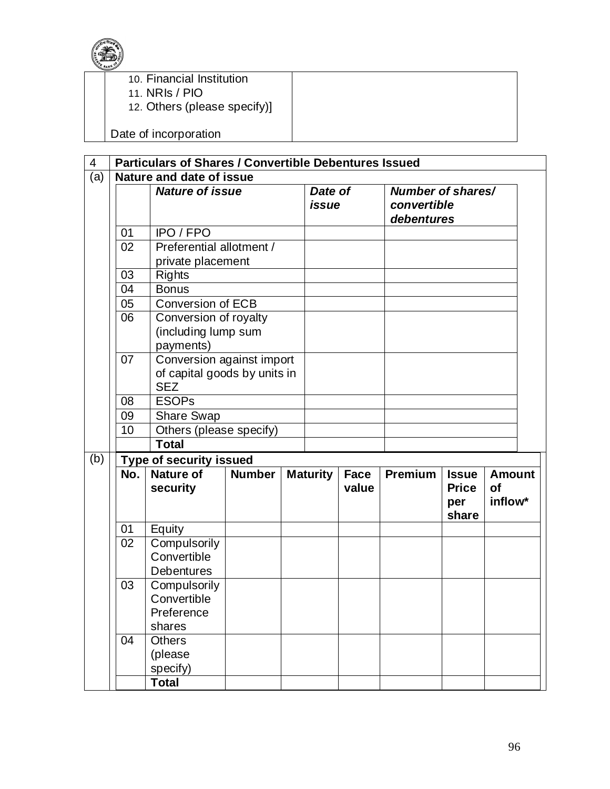

- 10. Financial Institution
- 11. NRIs / PIO
- 12. Others (please specify)]

Date of incorporation

| 4   |                    | <b>Particulars of Shares / Convertible Debentures Issued</b> |  |  |                  |               |                                                |                                              |                                       |
|-----|--------------------|--------------------------------------------------------------|--|--|------------------|---------------|------------------------------------------------|----------------------------------------------|---------------------------------------|
| (a) |                    | Nature and date of issue                                     |  |  |                  |               |                                                |                                              |                                       |
|     |                    | <b>Nature of issue</b>                                       |  |  | Date of<br>issue |               | Number of shares/<br>convertible<br>debentures |                                              |                                       |
|     | 01                 | IPO / FPO                                                    |  |  |                  |               |                                                |                                              |                                       |
|     | 02                 | Preferential allotment /                                     |  |  |                  |               |                                                |                                              |                                       |
|     |                    | private placement                                            |  |  |                  |               |                                                |                                              |                                       |
|     | 03                 | <b>Rights</b>                                                |  |  |                  |               |                                                |                                              |                                       |
|     | 04                 | <b>Bonus</b>                                                 |  |  |                  |               |                                                |                                              |                                       |
|     | 05                 | <b>Conversion of ECB</b>                                     |  |  |                  |               |                                                |                                              |                                       |
|     | 06                 | Conversion of royalty                                        |  |  |                  |               |                                                |                                              |                                       |
|     |                    | (including lump sum                                          |  |  |                  |               |                                                |                                              |                                       |
|     | 07                 | payments)<br>Conversion against import                       |  |  |                  |               |                                                |                                              |                                       |
|     |                    | of capital goods by units in                                 |  |  |                  |               |                                                |                                              |                                       |
|     |                    | <b>SEZ</b>                                                   |  |  |                  |               |                                                |                                              |                                       |
|     | <b>ESOPs</b><br>08 |                                                              |  |  |                  |               |                                                |                                              |                                       |
|     | 09                 | <b>Share Swap</b>                                            |  |  |                  |               |                                                |                                              |                                       |
|     | 10                 | Others (please specify)<br><b>Total</b>                      |  |  |                  |               |                                                |                                              |                                       |
|     |                    |                                                              |  |  |                  |               |                                                |                                              |                                       |
| (b) |                    | <b>Type of security issued</b>                               |  |  |                  |               |                                                |                                              |                                       |
|     | No.                | <b>Nature of</b><br><b>Number</b><br>security                |  |  | <b>Maturity</b>  | Face<br>value | Premium                                        | <b>Issue</b><br><b>Price</b><br>per<br>share | <b>Amount</b><br><b>of</b><br>inflow* |
|     | 01                 | Equity                                                       |  |  |                  |               |                                                |                                              |                                       |
|     | 02                 | Compulsorily<br>Convertible<br><b>Debentures</b>             |  |  |                  |               |                                                |                                              |                                       |
|     | 03                 | Compulsorily                                                 |  |  |                  |               |                                                |                                              |                                       |
|     |                    | Convertible                                                  |  |  |                  |               |                                                |                                              |                                       |
|     |                    | Preference                                                   |  |  |                  |               |                                                |                                              |                                       |
|     |                    | shares                                                       |  |  |                  |               |                                                |                                              |                                       |
|     | 04                 | <b>Others</b>                                                |  |  |                  |               |                                                |                                              |                                       |
|     |                    | (please                                                      |  |  |                  |               |                                                |                                              |                                       |
|     |                    | specify)                                                     |  |  |                  |               |                                                |                                              |                                       |
|     |                    | <b>Total</b>                                                 |  |  |                  |               |                                                |                                              |                                       |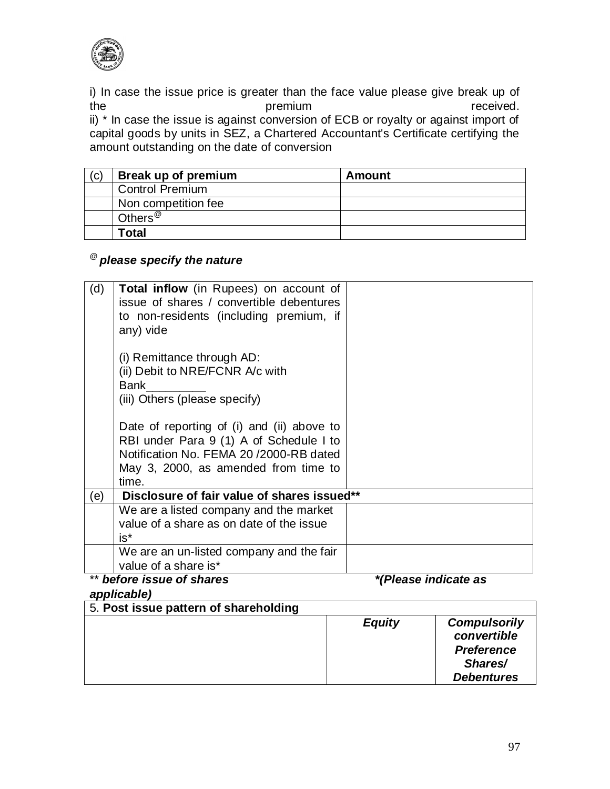

i) In case the issue price is greater than the face value please give break up of the premium premium received. ii) \* In case the issue is against conversion of ECB or royalty or against import of capital goods by units in SEZ, a Chartered Accountant's Certificate certifying the amount outstanding on the date of conversion

| 'C) | Break up of premium    | Amount |
|-----|------------------------|--------|
|     | <b>Control Premium</b> |        |
|     | Non competition fee    |        |
|     | Others <sup>@</sup>    |        |
|     | Total                  |        |

# @ *please specify the nature*

| (d) | <b>Total inflow</b> (in Rupees) on account of<br>issue of shares / convertible debentures              |                      |
|-----|--------------------------------------------------------------------------------------------------------|----------------------|
|     | to non-residents (including premium, if<br>any) vide                                                   |                      |
|     | (i) Remittance through AD:<br>(ii) Debit to NRE/FCNR A/c with<br>Bank<br>(iii) Others (please specify) |                      |
|     | Date of reporting of (i) and (ii) above to                                                             |                      |
|     | RBI under Para 9 (1) A of Schedule I to<br>Notification No. FEMA 20/2000-RB dated                      |                      |
|     | May 3, 2000, as amended from time to<br>time.                                                          |                      |
| (e) | Disclosure of fair value of shares issued**                                                            |                      |
|     | We are a listed company and the market                                                                 |                      |
|     | value of a share as on date of the issue<br>$is*$                                                      |                      |
|     | We are an un-listed company and the fair<br>value of a share is*                                       |                      |
|     | before issue of shares                                                                                 | *(Please indicate as |

## *applicable)*

| 5. Post issue pattern of shareholding |               |                                                                                         |
|---------------------------------------|---------------|-----------------------------------------------------------------------------------------|
|                                       | <b>Equity</b> | <b>Compulsorily</b><br>convertible<br><b>Preference</b><br>Shares/<br><b>Debentures</b> |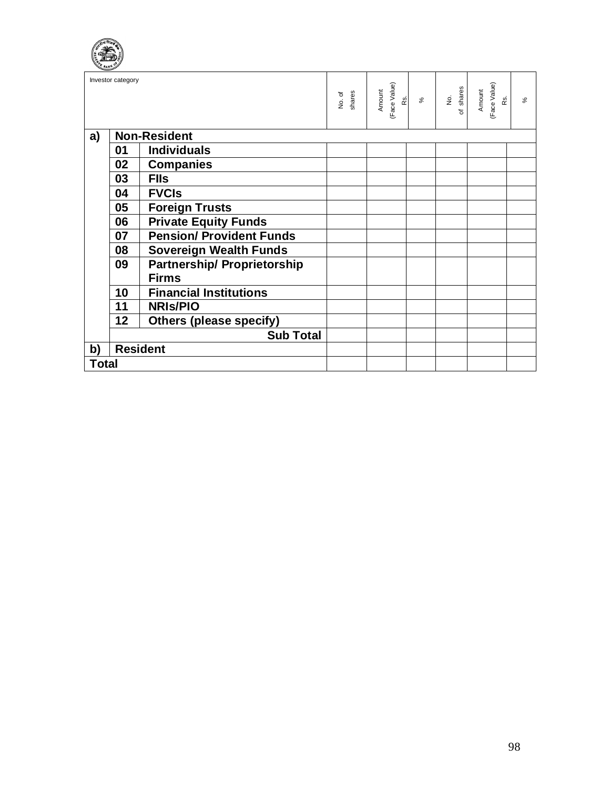|              | Investor category |                                    | shares<br>No. of | (Face Value)<br>Amount<br>Rs. | $\aleph$ | No.<br>shares<br>$\overline{\sigma}$ | (Face Value)<br>Amount<br>œ. | $\geqslant$ |
|--------------|-------------------|------------------------------------|------------------|-------------------------------|----------|--------------------------------------|------------------------------|-------------|
| a)           |                   | <b>Non-Resident</b>                |                  |                               |          |                                      |                              |             |
|              | 01                | <b>Individuals</b>                 |                  |                               |          |                                      |                              |             |
|              | 02                | <b>Companies</b>                   |                  |                               |          |                                      |                              |             |
|              | 03                | <b>FIIs</b>                        |                  |                               |          |                                      |                              |             |
|              | 04                | <b>FVCIS</b>                       |                  |                               |          |                                      |                              |             |
|              | 05                | <b>Foreign Trusts</b>              |                  |                               |          |                                      |                              |             |
|              | 06                | <b>Private Equity Funds</b>        |                  |                               |          |                                      |                              |             |
|              | 07                | <b>Pension/ Provident Funds</b>    |                  |                               |          |                                      |                              |             |
|              | 08                | <b>Sovereign Wealth Funds</b>      |                  |                               |          |                                      |                              |             |
|              | 09                | <b>Partnership/ Proprietorship</b> |                  |                               |          |                                      |                              |             |
|              |                   | <b>Firms</b>                       |                  |                               |          |                                      |                              |             |
|              | 10                | <b>Financial Institutions</b>      |                  |                               |          |                                      |                              |             |
|              | 11                | <b>NRIS/PIO</b>                    |                  |                               |          |                                      |                              |             |
|              | 12                | <b>Others (please specify)</b>     |                  |                               |          |                                      |                              |             |
|              |                   | <b>Sub Total</b>                   |                  |                               |          |                                      |                              |             |
| b)           |                   | <b>Resident</b>                    |                  |                               |          |                                      |                              |             |
| <b>Total</b> |                   |                                    |                  |                               |          |                                      |                              |             |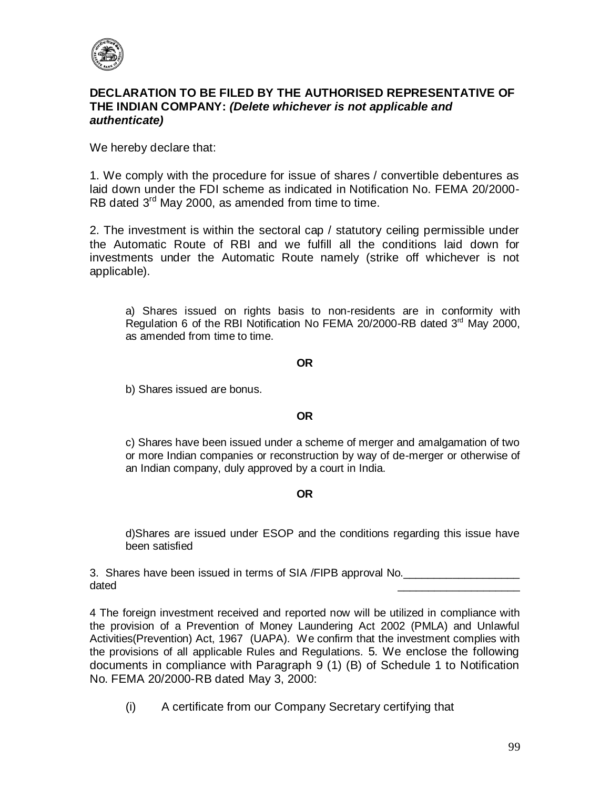

### **DECLARATION TO BE FILED BY THE AUTHORISED REPRESENTATIVE OF THE INDIAN COMPANY:** *(Delete whichever is not applicable and authenticate)*

We hereby declare that:

1. We comply with the procedure for issue of shares / convertible debentures as laid down under the FDI scheme as indicated in Notification No. FEMA 20/2000- RB dated 3<sup>rd</sup> May 2000, as amended from time to time.

2. The investment is within the sectoral cap / statutory ceiling permissible under the Automatic Route of RBI and we fulfill all the conditions laid down for investments under the Automatic Route namely (strike off whichever is not applicable).

a) Shares issued on rights basis to non-residents are in conformity with Regulation 6 of the RBI Notification No FEMA 20/2000-RB dated  $3<sup>rd</sup>$  May 2000, as amended from time to time.

#### **OR**

b) Shares issued are bonus.

#### **OR**

c) Shares have been issued under a scheme of merger and amalgamation of two or more Indian companies or reconstruction by way of de-merger or otherwise of an Indian company, duly approved by a court in India.

#### **OR**

d)Shares are issued under ESOP and the conditions regarding this issue have been satisfied

3. Shares have been issued in terms of SIA /FIPB approval No. dated \_\_\_\_\_\_\_\_\_\_\_\_\_\_\_\_\_\_\_\_

4 The foreign investment received and reported now will be utilized in compliance with the provision of a Prevention of Money Laundering Act 2002 (PMLA) and Unlawful Activities(Prevention) Act, 1967 (UAPA). We confirm that the investment complies with the provisions of all applicable Rules and Regulations. 5. We enclose the following documents in compliance with Paragraph 9 (1) (B) of Schedule 1 to Notification No. FEMA 20/2000-RB dated May 3, 2000:

(i) A certificate from our Company Secretary certifying that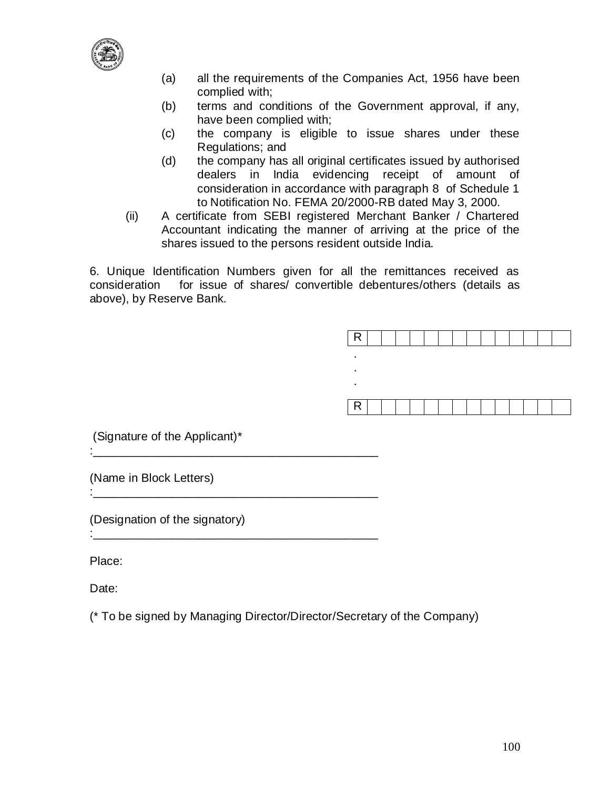

- (a) all the requirements of the Companies Act, 1956 have been complied with;
- (b) terms and conditions of the Government approval, if any, have been complied with;
- (c) the company is eligible to issue shares under these Regulations; and
- (d) the company has all original certificates issued by authorised dealers in India evidencing receipt of amount of consideration in accordance with paragraph 8 of Schedule 1 to Notification No. FEMA 20/2000-RB dated May 3, 2000.
- (ii) A certificate from SEBI registered Merchant Banker / Chartered Accountant indicating the manner of arriving at the price of the shares issued to the persons resident outside India.

6. Unique Identification Numbers given for all the remittances received as consideration for issue of shares/ convertible debentures/others (details as above), by Reserve Bank.

| к |  |  |  |  |  |  |
|---|--|--|--|--|--|--|
|   |  |  |  |  |  |  |
| ٠ |  |  |  |  |  |  |
|   |  |  |  |  |  |  |
| R |  |  |  |  |  |  |

(Signature of the Applicant)\*

:\_\_\_\_\_\_\_\_\_\_\_\_\_\_\_\_\_\_\_\_\_\_\_\_\_\_\_\_\_\_\_\_\_\_\_\_\_\_\_\_\_\_\_

:\_\_\_\_\_\_\_\_\_\_\_\_\_\_\_\_\_\_\_\_\_\_\_\_\_\_\_\_\_\_\_\_\_\_\_\_\_\_\_\_\_\_\_

:\_\_\_\_\_\_\_\_\_\_\_\_\_\_\_\_\_\_\_\_\_\_\_\_\_\_\_\_\_\_\_\_\_\_\_\_\_\_\_\_\_\_\_

(Name in Block Letters)

(Designation of the signatory)

Place:

Date:

(\* To be signed by Managing Director/Director/Secretary of the Company)